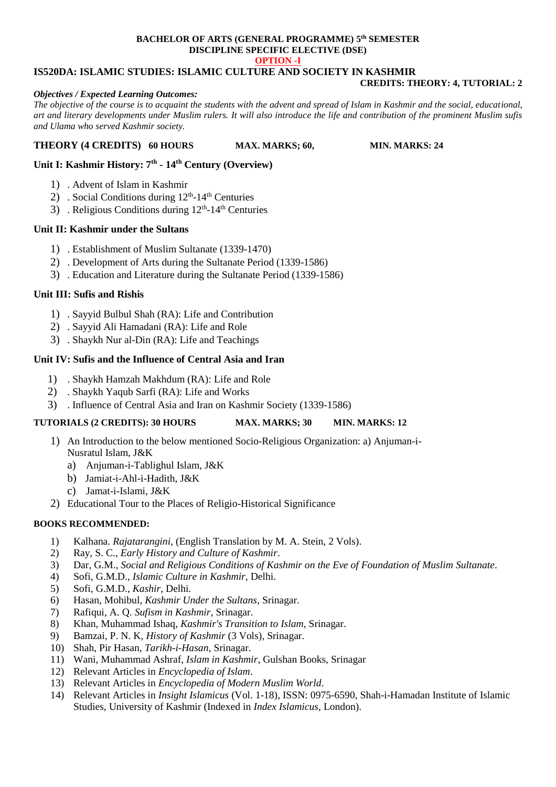#### **BACHELOR OF ARTS (GENERAL PROGRAMME) 5 th SEMESTER DISCIPLINE SPECIFIC ELECTIVE (DSE) OPTION -I**

## **IS520DA: ISLAMIC STUDIES: ISLAMIC CULTURE AND SOCIETY IN KASHMIR**

### *Objectives / Expected Learning Outcomes:*

*The objective of the course is to acquaint the students with the advent and spread of Islam in Kashmir and the social, educational, art and literary developments under Muslim rulers. It will also introduce the life and contribution of the prominent Muslim sufis and Ulama who served Kashmir society.*

### **THEORY (4 CREDITS) 60 HOURS MAX. MARKS; 60, MIN. MARKS: 24**

**CREDITS: THEORY: 4, TUTORIAL: 2**

## **Unit I: Kashmir History: 7th - 14th Century (Overview)**

- 1) . Advent of Islam in Kashmir
- 2) . Social Conditions during  $12<sup>th</sup>$ -14<sup>th</sup> Centuries
- 3) . Religious Conditions during  $12<sup>th</sup>$ -14<sup>th</sup> Centuries

### **Unit II: Kashmir under the Sultans**

- 1) . Establishment of Muslim Sultanate (1339-1470)
- 2) . Development of Arts during the Sultanate Period (1339-1586)
- 3) . Education and Literature during the Sultanate Period (1339-1586)

## **Unit III: Sufis and Rishis**

- 1) . Sayyid Bulbul Shah (RA): Life and Contribution
- 2) . Sayyid Ali Hamadani (RA): Life and Role
- 3) . Shaykh Nur al-Din (RA): Life and Teachings

## **Unit IV: Sufis and the Influence of Central Asia and Iran**

- 1) . Shaykh Hamzah Makhdum (RA): Life and Role
- 2) . Shaykh Yaqub Sarfi (RA): Life and Works
- 3) . Influence of Central Asia and Iran on Kashmir Society (1339-1586)

# **TUTORIALS (2 CREDITS): 30 HOURS MAX. MARKS; 30 MIN. MARKS: 12**

- 1) An Introduction to the below mentioned Socio-Religious Organization: a) Anjuman-i-Nusratul Islam, J&K
	- a) Anjuman-i-Tablighul Islam, J&K
	- b) Jamiat-i-Ahl-i-Hadith, J&K
	- c) Jamat-i-Islami, J&K
- 2) Educational Tour to the Places of Religio-Historical Significance

### **BOOKS RECOMMENDED:**

- 1) Kalhana. *Rajatarangini,* (English Translation by M. A. Stein, 2 Vols).
- 2) Ray, S. C., *Early History and Culture of Kashmir*.
- 3) Dar, G.M., *Social and Religious Conditions of Kashmir on the Eve of Foundation of Muslim Sultanate*.
- 4) Sofi, G.M.D., *Islamic Culture in Kashmir,* Delhi.
- 5) Sofi, G.M.D., *Kashir,* Delhi.
- 6) Hasan, Mohibul, *Kashmir Under the Sultans*, Srinagar.
- 7) Rafiqui, A. Q. *Sufism in Kashmir*, Srinagar.
- 8) Khan, Muhammad Ishaq, *Kashmir's Transition to Islam*, Srinagar.
- 9) Bamzai, P. N. K, *History of Kashmir* (3 Vols), Srinagar.
- 10) Shah, Pir Hasan, *Tarikh-i-Hasan*, Srinagar.
- 11) Wani, Muhammad Ashraf, *Islam in Kashmir*, Gulshan Books, Srinagar
- 12) Relevant Articles in *Encyclopedia of Islam*.
- 13) Relevant Articles in *Encyclopedia of Modern Muslim World*.
- 14) Relevant Articles in *Insight Islamicus* (Vol. 1-18), ISSN: 0975-6590, Shah-i-Hamadan Institute of Islamic Studies, University of Kashmir (Indexed in *Index Islamicus*, London).